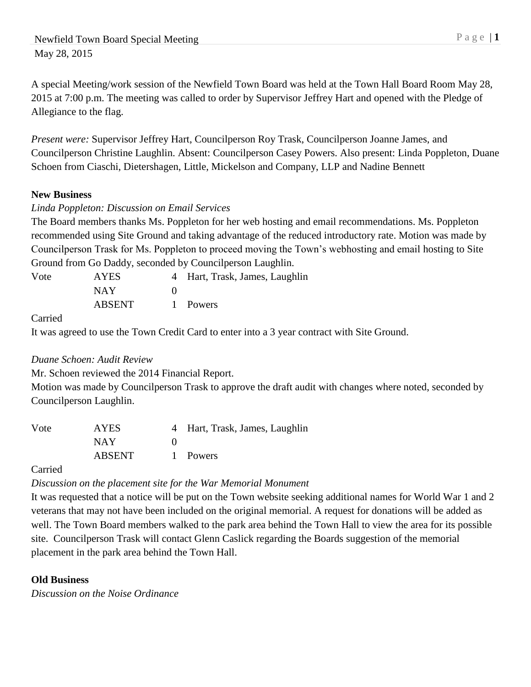A special Meeting/work session of the Newfield Town Board was held at the Town Hall Board Room May 28, 2015 at 7:00 p.m. The meeting was called to order by Supervisor Jeffrey Hart and opened with the Pledge of Allegiance to the flag.

*Present were:* Supervisor Jeffrey Hart, Councilperson Roy Trask, Councilperson Joanne James, and Councilperson Christine Laughlin. Absent: Councilperson Casey Powers. Also present: Linda Poppleton, Duane Schoen from Ciaschi, Dietershagen, Little, Mickelson and Company, LLP and Nadine Bennett

## **New Business**

## *Linda Poppleton: Discussion on Email Services*

The Board members thanks Ms. Poppleton for her web hosting and email recommendations. Ms. Poppleton recommended using Site Ground and taking advantage of the reduced introductory rate. Motion was made by Councilperson Trask for Ms. Poppleton to proceed moving the Town's webhosting and email hosting to Site Ground from Go Daddy, seconded by Councilperson Laughlin.

| Vote | AYES          | 4 Hart, Trask, James, Laughlin |
|------|---------------|--------------------------------|
|      | NAY           |                                |
|      | <b>ABSENT</b> | 1 Powers                       |

Carried

It was agreed to use the Town Credit Card to enter into a 3 year contract with Site Ground.

### *Duane Schoen: Audit Review*

Mr. Schoen reviewed the 2014 Financial Report.

Motion was made by Councilperson Trask to approve the draft audit with changes where noted, seconded by Councilperson Laughlin.

| Vote | <b>AYES</b>   | 4 Hart, Trask, James, Laughlin |
|------|---------------|--------------------------------|
|      | NAY           |                                |
|      | <b>ABSENT</b> | 1 Powers                       |

### Carried

# *Discussion on the placement site for the War Memorial Monument*

It was requested that a notice will be put on the Town website seeking additional names for World War 1 and 2 veterans that may not have been included on the original memorial. A request for donations will be added as well. The Town Board members walked to the park area behind the Town Hall to view the area for its possible site. Councilperson Trask will contact Glenn Caslick regarding the Boards suggestion of the memorial placement in the park area behind the Town Hall.

# **Old Business**

*Discussion on the Noise Ordinance*